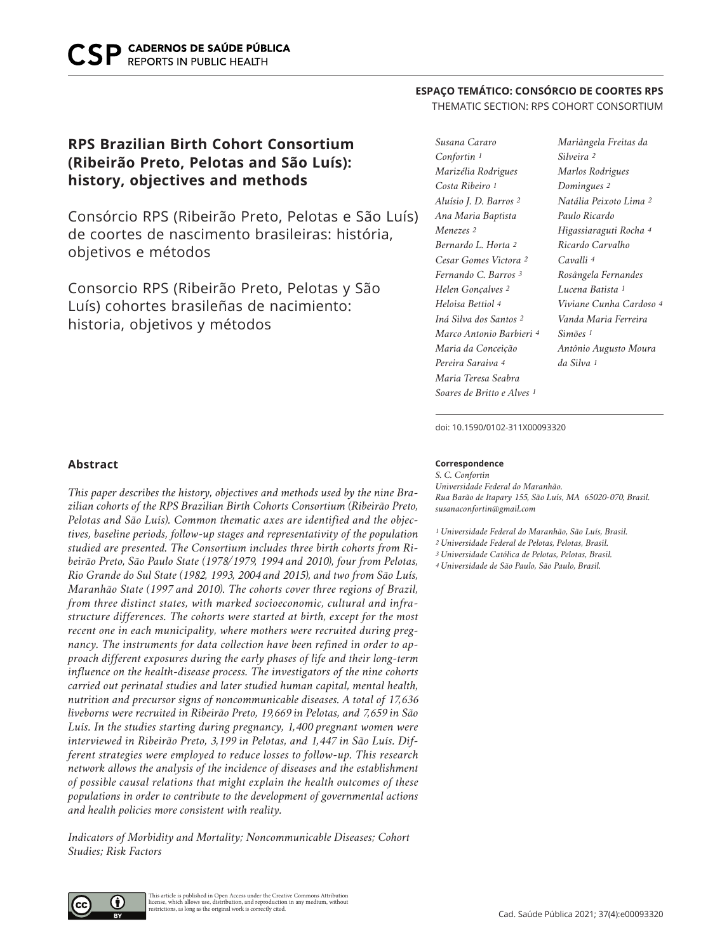# **RPS Brazilian Birth Cohort Consortium (Ribeirão Preto, Pelotas and São Luís): history, objectives and methods**

Consórcio RPS (Ribeirão Preto, Pelotas e São Luís) de coortes de nascimento brasileiras: história, objetivos e métodos

Consorcio RPS (Ribeirão Preto, Pelotas y São Luís) cohortes brasileñas de nacimiento: historia, objetivos y métodos

# **ESPAÇO TEMÁTICO: CONSÓRCIO DE COORTES RPS**

# THEMATIC SECTION: RPS COHORT CONSORTIUM

*Susana Cararo Confortin 1 Marizélia Rodrigues Costa Ribeiro 1 Aluísio J. D. Barros 2 Ana Maria Baptista Menezes 2 Bernardo L. Horta 2 Cesar Gomes Victora 2 Fernando C. Barros 3 Helen Gonçalves 2 Heloisa Bettiol 4 Iná Silva dos Santos 2 Marco Antonio Barbieri 4 Maria da Conceição Pereira Saraiva 4 Maria Teresa Seabra Soares de Britto e Alves 1*

*Mariângela Freitas da Silveira 2 Marlos Rodrigues Domingues 2 Natália Peixoto Lima 2 Paulo Ricardo Higassiaraguti Rocha 4 Ricardo Carvalho Cavalli 4 Rosângela Fernandes Lucena Batista 1 Viviane Cunha Cardoso 4 Vanda Maria Ferreira Simões 1 Antônio Augusto Moura da Silva 1*

doi: 10.1590/0102-311X00093320

#### **Correspondence**

*S. C. Confortin Universidade Federal do Maranhão. Rua Barão de Itapary 155, São Luís, MA 65020-070, Brasil. susanaconfortin@gmail.com*

*1 Universidade Federal do Maranhão, São Luís, Brasil.*

*2 Universidade Federal de Pelotas, Pelotas, Brasil.*

*3 Universidade Católica de Pelotas, Pelotas, Brasil.*

*4 Universidade de São Paulo, São Paulo, Brasil.*

# **Abstract**

*This paper describes the history, objectives and methods used by the nine Brazilian cohorts of the RPS Brazilian Birth Cohorts Consortium (Ribeirão Preto, Pelotas and São Luís). Common thematic axes are identified and the objectives, baseline periods, follow-up stages and representativity of the population studied are presented. The Consortium includes three birth cohorts from Ribeirão Preto, São Paulo State (1978/1979, 1994 and 2010), four from Pelotas, Rio Grande do Sul State (1982, 1993, 2004 and 2015), and two from São Luís, Maranhão State (1997 and 2010). The cohorts cover three regions of Brazil, from three distinct states, with marked socioeconomic, cultural and infrastructure differences. The cohorts were started at birth, except for the most recent one in each municipality, where mothers were recruited during pregnancy. The instruments for data collection have been refined in order to approach different exposures during the early phases of life and their long-term influence on the health-disease process. The investigators of the nine cohorts carried out perinatal studies and later studied human capital, mental health, nutrition and precursor signs of noncommunicable diseases. A total of 17,636 liveborns were recruited in Ribeirão Preto, 19,669 in Pelotas, and 7,659 in São Luís. In the studies starting during pregnancy, 1,400 pregnant women were interviewed in Ribeirão Preto, 3,199 in Pelotas, and 1,447 in São Luís. Different strategies were employed to reduce losses to follow-up. This research network allows the analysis of the incidence of diseases and the establishment of possible causal relations that might explain the health outcomes of these populations in order to contribute to the development of governmental actions and health policies more consistent with reality.* 

*Indicators of Morbidity and Mortality; Noncommunicable Diseases; Cohort Studies; Risk Factors*

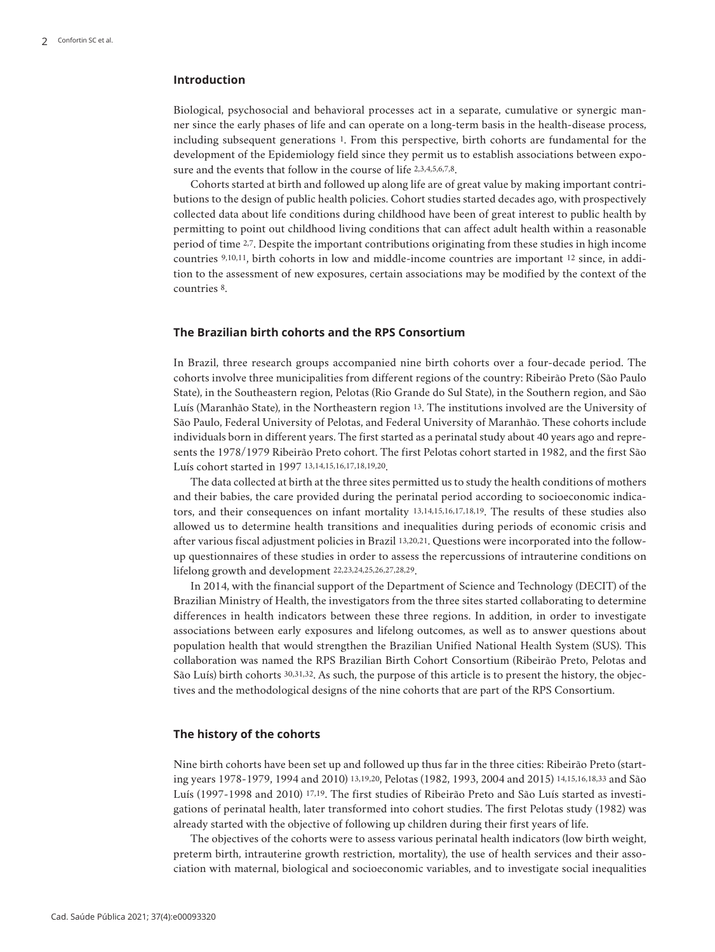# **Introduction**

Biological, psychosocial and behavioral processes act in a separate, cumulative or synergic manner since the early phases of life and can operate on a long-term basis in the health-disease process, including subsequent generations 1. From this perspective, birth cohorts are fundamental for the development of the Epidemiology field since they permit us to establish associations between exposure and the events that follow in the course of life 2,3,4,5,6,7,8.

Cohorts started at birth and followed up along life are of great value by making important contributions to the design of public health policies. Cohort studies started decades ago, with prospectively collected data about life conditions during childhood have been of great interest to public health by permitting to point out childhood living conditions that can affect adult health within a reasonable period of time 2,7. Despite the important contributions originating from these studies in high income countries 9,10,11, birth cohorts in low and middle-income countries are important 12 since, in addition to the assessment of new exposures, certain associations may be modified by the context of the countries 8.

# **The Brazilian birth cohorts and the RPS Consortium**

In Brazil, three research groups accompanied nine birth cohorts over a four-decade period. The cohorts involve three municipalities from different regions of the country: Ribeirão Preto (São Paulo State), in the Southeastern region, Pelotas (Rio Grande do Sul State), in the Southern region, and São Luís (Maranhão State), in the Northeastern region 13. The institutions involved are the University of São Paulo, Federal University of Pelotas, and Federal University of Maranhão. These cohorts include individuals born in different years. The first started as a perinatal study about 40 years ago and represents the 1978/1979 Ribeirão Preto cohort. The first Pelotas cohort started in 1982, and the first São Luís cohort started in 1997 13,14,15,16,17,18,19,20.

The data collected at birth at the three sites permitted us to study the health conditions of mothers and their babies, the care provided during the perinatal period according to socioeconomic indicators, and their consequences on infant mortality 13,14,15,16,17,18,19. The results of these studies also allowed us to determine health transitions and inequalities during periods of economic crisis and after various fiscal adjustment policies in Brazil 13,20,21. Questions were incorporated into the followup questionnaires of these studies in order to assess the repercussions of intrauterine conditions on lifelong growth and development 22,23,24,25,26,27,28,29.

In 2014, with the financial support of the Department of Science and Technology (DECIT) of the Brazilian Ministry of Health, the investigators from the three sites started collaborating to determine differences in health indicators between these three regions. In addition, in order to investigate associations between early exposures and lifelong outcomes, as well as to answer questions about population health that would strengthen the Brazilian Unified National Health System (SUS). This collaboration was named the RPS Brazilian Birth Cohort Consortium (Ribeirão Preto, Pelotas and São Luís) birth cohorts 30,31,32. As such, the purpose of this article is to present the history, the objectives and the methodological designs of the nine cohorts that are part of the RPS Consortium.

### **The history of the cohorts**

Nine birth cohorts have been set up and followed up thus far in the three cities: Ribeirão Preto (starting years 1978-1979, 1994 and 2010) 13,19,20, Pelotas (1982, 1993, 2004 and 2015) 14,15,16,18,33 and São Luís (1997-1998 and 2010) 17,19. The first studies of Ribeirão Preto and São Luís started as investigations of perinatal health, later transformed into cohort studies. The first Pelotas study (1982) was already started with the objective of following up children during their first years of life.

The objectives of the cohorts were to assess various perinatal health indicators (low birth weight, preterm birth, intrauterine growth restriction, mortality), the use of health services and their association with maternal, biological and socioeconomic variables, and to investigate social inequalities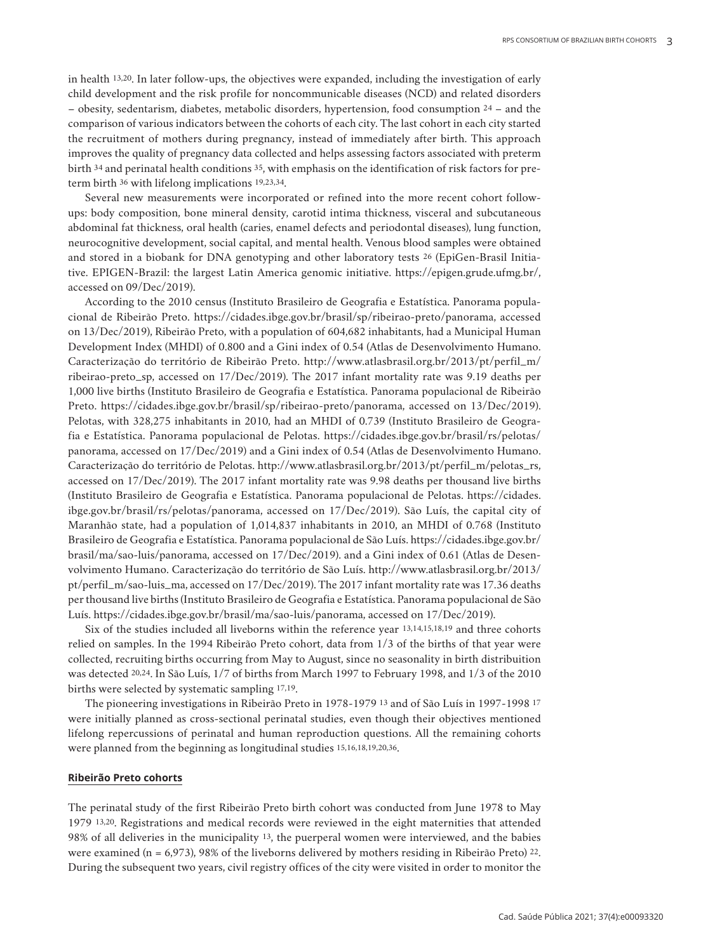in health 13,20. In later follow-ups, the objectives were expanded, including the investigation of early child development and the risk profile for noncommunicable diseases (NCD) and related disorders – obesity, sedentarism, diabetes, metabolic disorders, hypertension, food consumption 24 – and the comparison of various indicators between the cohorts of each city. The last cohort in each city started the recruitment of mothers during pregnancy, instead of immediately after birth. This approach improves the quality of pregnancy data collected and helps assessing factors associated with preterm birth 34 and perinatal health conditions 35, with emphasis on the identification of risk factors for preterm birth 36 with lifelong implications 19,23,34.

Several new measurements were incorporated or refined into the more recent cohort followups: body composition, bone mineral density, carotid intima thickness, visceral and subcutaneous abdominal fat thickness, oral health (caries, enamel defects and periodontal diseases), lung function, neurocognitive development, social capital, and mental health. Venous blood samples were obtained and stored in a biobank for DNA genotyping and other laboratory tests 26 (EpiGen-Brasil Initiative. EPIGEN-Brazil: the largest Latin America genomic initiative. https://epigen.grude.ufmg.br/, accessed on 09/Dec/2019).

According to the 2010 census (Instituto Brasileiro de Geografia e Estatística. Panorama populacional de Ribeirão Preto. https://cidades.ibge.gov.br/brasil/sp/ribeirao-preto/panorama, accessed on 13/Dec/2019), Ribeirão Preto, with a population of 604,682 inhabitants, had a Municipal Human Development Index (MHDI) of 0.800 and a Gini index of 0.54 (Atlas de Desenvolvimento Humano. Caracterização do território de Ribeirão Preto. http://www.atlasbrasil.org.br/2013/pt/perfil\_m/ ribeirao-preto\_sp, accessed on 17/Dec/2019). The 2017 infant mortality rate was 9.19 deaths per 1,000 live births (Instituto Brasileiro de Geografia e Estatística. Panorama populacional de Ribeirão Preto. https://cidades.ibge.gov.br/brasil/sp/ribeirao-preto/panorama, accessed on 13/Dec/2019). Pelotas, with 328,275 inhabitants in 2010, had an MHDI of 0.739 (Instituto Brasileiro de Geografia e Estatística. Panorama populacional de Pelotas. https://cidades.ibge.gov.br/brasil/rs/pelotas/ panorama, accessed on 17/Dec/2019) and a Gini index of 0.54 (Atlas de Desenvolvimento Humano. Caracterização do território de Pelotas. http://www.atlasbrasil.org.br/2013/pt/perfil\_m/pelotas\_rs, accessed on 17/Dec/2019). The 2017 infant mortality rate was 9.98 deaths per thousand live births (Instituto Brasileiro de Geografia e Estatística. Panorama populacional de Pelotas. https://cidades. ibge.gov.br/brasil/rs/pelotas/panorama, accessed on 17/Dec/2019). São Luís, the capital city of Maranhão state, had a population of 1,014,837 inhabitants in 2010, an MHDI of 0.768 (Instituto Brasileiro de Geografia e Estatística. Panorama populacional de São Luís. https://cidades.ibge.gov.br/ brasil/ma/sao-luis/panorama, accessed on 17/Dec/2019). and a Gini index of 0.61 (Atlas de Desenvolvimento Humano. Caracterização do território de São Luís. http://www.atlasbrasil.org.br/2013/ pt/perfil\_m/sao-luis\_ma, accessed on 17/Dec/2019). The 2017 infant mortality rate was 17.36 deaths per thousand live births (Instituto Brasileiro de Geografia e Estatística. Panorama populacional de São Luís. https://cidades.ibge.gov.br/brasil/ma/sao-luis/panorama, accessed on 17/Dec/2019).

Six of the studies included all liveborns within the reference year 13,14,15,18,19 and three cohorts relied on samples. In the 1994 Ribeirão Preto cohort, data from 1/3 of the births of that year were collected, recruiting births occurring from May to August, since no seasonality in birth distribuition was detected 20,24. In São Luís, 1/7 of births from March 1997 to February 1998, and 1/3 of the 2010 births were selected by systematic sampling 17,19.

The pioneering investigations in Ribeirão Preto in 1978-1979 13 and of São Luís in 1997-1998 17 were initially planned as cross-sectional perinatal studies, even though their objectives mentioned lifelong repercussions of perinatal and human reproduction questions. All the remaining cohorts were planned from the beginning as longitudinal studies 15,16,18,19,20,36.

#### **Ribeirão Preto cohorts**

The perinatal study of the first Ribeirão Preto birth cohort was conducted from June 1978 to May 1979 13,20. Registrations and medical records were reviewed in the eight maternities that attended 98% of all deliveries in the municipality 13, the puerperal women were interviewed, and the babies were examined (n = 6,973), 98% of the liveborns delivered by mothers residing in Ribeirão Preto) 22. During the subsequent two years, civil registry offices of the city were visited in order to monitor the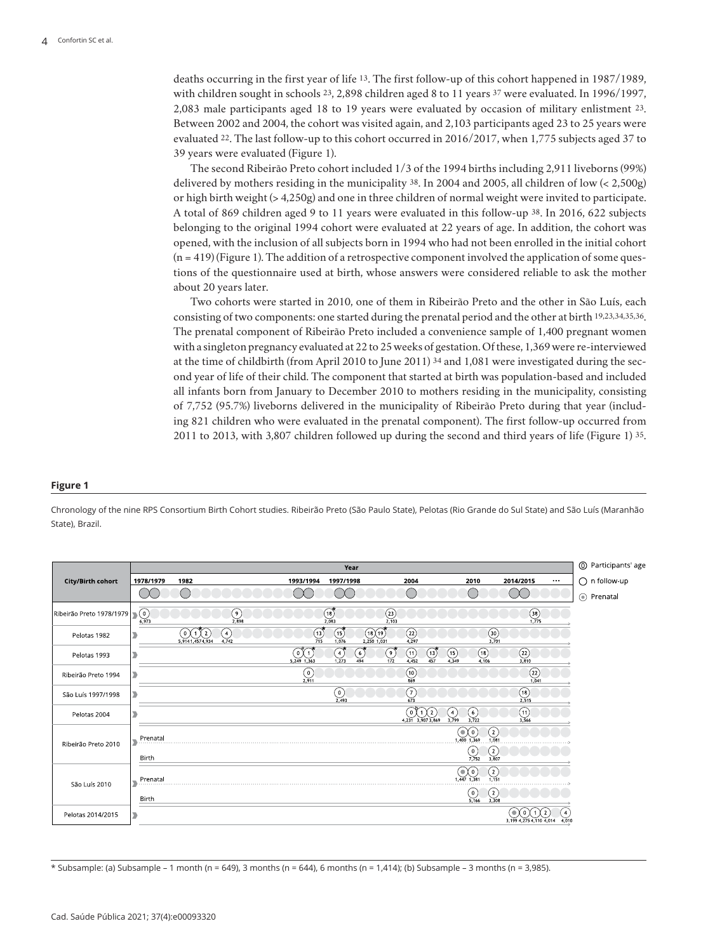deaths occurring in the first year of life 13. The first follow-up of this cohort happened in 1987/1989, with children sought in schools 23, 2,898 children aged 8 to 11 years 37 were evaluated. In 1996/1997, 2,083 male participants aged 18 to 19 years were evaluated by occasion of military enlistment 23. Between 2002 and 2004, the cohort was visited again, and 2,103 participants aged 23 to 25 years were evaluated 22. The last follow-up to this cohort occurred in 2016/2017, when 1,775 subjects aged 37 to 39 years were evaluated (Figure 1).

The second Ribeirão Preto cohort included 1/3 of the 1994 births including 2,911 liveborns (99%) delivered by mothers residing in the municipality 38. In 2004 and 2005, all children of low (< 2,500g) or high birth weight (> 4,250g) and one in three children of normal weight were invited to participate. A total of 869 children aged 9 to 11 years were evaluated in this follow-up 38. In 2016, 622 subjects belonging to the original 1994 cohort were evaluated at 22 years of age. In addition, the cohort was opened, with the inclusion of all subjects born in 1994 who had not been enrolled in the initial cohort  $(n = 419)$  (Figure 1). The addition of a retrospective component involved the application of some questions of the questionnaire used at birth, whose answers were considered reliable to ask the mother about 20 years later.

Two cohorts were started in 2010, one of them in Ribeirão Preto and the other in São Luís, each consisting of two components: one started during the prenatal period and the other at birth 19,23,34,35,36. The prenatal component of Ribeirão Preto included a convenience sample of 1,400 pregnant women with a singleton pregnancy evaluated at 22 to 25 weeks of gestation. Of these, 1,369 were re-interviewed at the time of childbirth (from April 2010 to June 2011) 34 and 1,081 were investigated during the second year of life of their child. The component that started at birth was population-based and included all infants born from January to December 2010 to mothers residing in the municipality, consisting of 7,752 (95.7%) liveborns delivered in the municipality of Ribeirão Preto during that year (including 821 children who were evaluated in the prenatal component). The first follow-up occurred from 2011 to 2013, with 3,807 children followed up during the second and third years of life (Figure 1) 35.

#### **Figure 1**

Chronology of the nine RPS Consortium Birth Cohort studies. Ribeirão Preto (São Paulo State), Pelotas (Rio Grande do Sul State) and São Luís (Maranhão State), Brazil.

|                          | Year      |                                                    |                                   |                                             |                                                  |                                                              |                                                                   |                                 |                                    |
|--------------------------|-----------|----------------------------------------------------|-----------------------------------|---------------------------------------------|--------------------------------------------------|--------------------------------------------------------------|-------------------------------------------------------------------|---------------------------------|------------------------------------|
| City/Birth cohort        | 1978/1979 | 1982                                               | 1993/1994                         | 1997/1998                                   | 2004                                             |                                                              | 2010                                                              | 2014/2015                       | $\bigcirc$ n follow-up<br>$\cdots$ |
|                          |           |                                                    |                                   |                                             |                                                  |                                                              |                                                                   |                                 | ⊙ Prenatal                         |
| Ribeirão Preto 1978/1979 |           | $\bigodot$ <sub>2,898</sub>                        |                                   | $\begin{pmatrix} 18 \\ 2,083 \end{pmatrix}$ | $\binom{23}{2,103}$                              |                                                              |                                                                   | $\binom{38}{1,775}$             |                                    |
| Pelotas 1982             |           | ♦<br>2<br>$\mathbf{0}$<br>4,742<br>5,9141,4574,934 | $\circledcirc$<br>$\frac{1}{715}$ | $\binom{15}{1,076}$                         | $(18)(19)$<br>2,250 1,031<br>$\binom{22}{4,297}$ |                                                              | $\binom{30}{3,701}$                                               |                                 |                                    |
| Pelotas 1993             |           |                                                    | OU<br>5,249 1,363                 | จ<br>$\mathbb{G}^*$<br>494<br>1,273         | $\overline{\mathcal{O}}_{172}$<br>(11)<br>4.452  | $\circledcirc$<br>$\binom{15}{4,349}$<br>457                 | $\binom{18}{4,106}$                                               | $\frac{22}{3,810}$              |                                    |
| Ribeirão Preto 1994      |           |                                                    | $\frac{1}{2,911}$                 |                                             | $\binom{10}{869}$                                |                                                              |                                                                   | (22)                            |                                    |
| São Luís 1997/1998       |           |                                                    |                                   | $\bigodot$ <sub>2,493</sub>                 | $\overline{\big( \frac{1}{673}}$                 |                                                              |                                                                   | $(18)$<br>2,515                 |                                    |
| Pelotas 2004             |           |                                                    |                                   |                                             | $\mathbf{0}$                                     | $\binom{4}{3,799}$<br>$\left( 2\right)$<br>4.231 3.907 3.869 | $\bigodot_{3,722}$                                                | $\overline{\frac{(11)}{3,566}}$ |                                    |
| Ribeirão Preto 2010      | Prenatal  |                                                    |                                   |                                             |                                                  | ۰                                                            | $\binom{2}{1,08}$<br>$\left\lbrack 0\right\rbrack$<br>1,400 1,369 |                                 |                                    |
|                          | Birth     |                                                    |                                   |                                             |                                                  |                                                              | $\binom{0}{7,752}$<br>$\frac{2}{3,807}$                           |                                 |                                    |
| São Luís 2010            | Prenatal  |                                                    |                                   |                                             |                                                  |                                                              | $\binom{2}{1,151}$<br>$\mathbf 0$<br>381                          |                                 |                                    |
|                          | Birth     |                                                    |                                   |                                             |                                                  |                                                              | $\bigodot$ <sub>5,166</sub><br>$\frac{2}{3,308}$                  |                                 |                                    |
| Pelotas 2014/2015        |           |                                                    |                                   |                                             |                                                  |                                                              |                                                                   | 3,199 4,275 4,110 4,014         | $\overline{4}$<br>4,010            |

\* Subsample: (a) Subsample – 1 month (n = 649), 3 months (n = 644), 6 months (n = 1,414); (b) Subsample – 3 months (n = 3,985).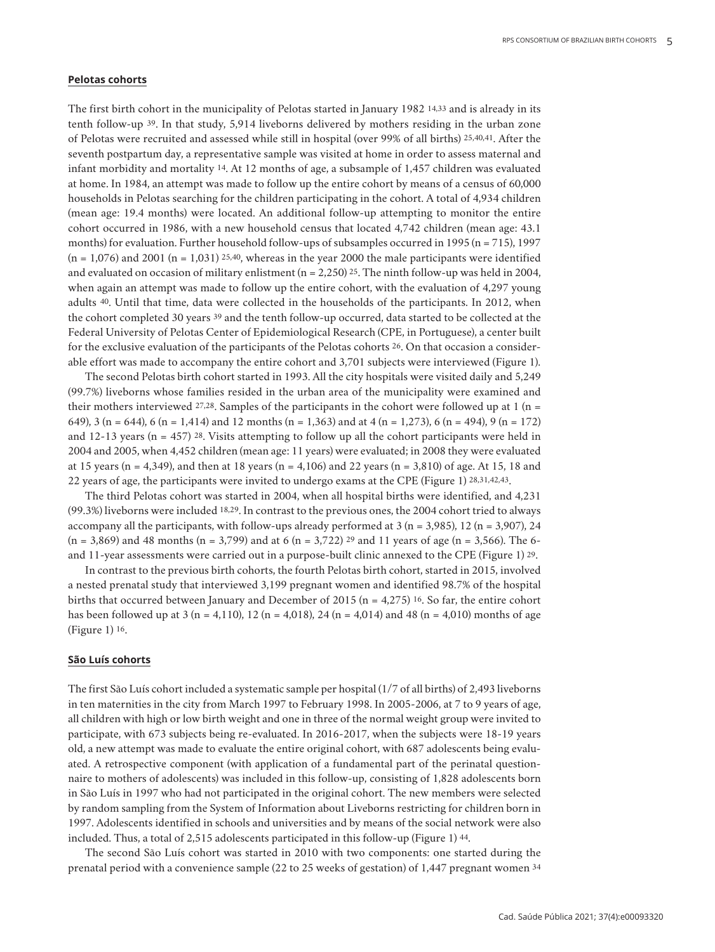### **Pelotas cohorts**

The first birth cohort in the municipality of Pelotas started in January 1982 14,33 and is already in its tenth follow-up 39. In that study, 5,914 liveborns delivered by mothers residing in the urban zone of Pelotas were recruited and assessed while still in hospital (over 99% of all births) 25,40,41. After the seventh postpartum day, a representative sample was visited at home in order to assess maternal and infant morbidity and mortality 14. At 12 months of age, a subsample of 1,457 children was evaluated at home. In 1984, an attempt was made to follow up the entire cohort by means of a census of 60,000 households in Pelotas searching for the children participating in the cohort. A total of 4,934 children (mean age: 19.4 months) were located. An additional follow-up attempting to monitor the entire cohort occurred in 1986, with a new household census that located 4,742 children (mean age: 43.1 months) for evaluation. Further household follow-ups of subsamples occurred in 1995 (n = 715), 1997  $(n = 1,076)$  and 2001  $(n = 1,031)$  25.40, whereas in the year 2000 the male participants were identified and evaluated on occasion of military enlistment  $(n = 2,250)$  25. The ninth follow-up was held in 2004, when again an attempt was made to follow up the entire cohort, with the evaluation of 4,297 young adults 40. Until that time, data were collected in the households of the participants. In 2012, when the cohort completed 30 years 39 and the tenth follow-up occurred, data started to be collected at the Federal University of Pelotas Center of Epidemiological Research (CPE, in Portuguese), a center built for the exclusive evaluation of the participants of the Pelotas cohorts 26. On that occasion a considerable effort was made to accompany the entire cohort and 3,701 subjects were interviewed (Figure 1).

The second Pelotas birth cohort started in 1993. All the city hospitals were visited daily and 5,249 (99.7%) liveborns whose families resided in the urban area of the municipality were examined and their mothers interviewed 27,28. Samples of the participants in the cohort were followed up at 1 ( $n =$ 649), 3 (n = 644), 6 (n = 1,414) and 12 months (n = 1,363) and at 4 (n = 1,273), 6 (n = 494), 9 (n = 172) and 12-13 years ( $n = 457$ ) 28. Visits attempting to follow up all the cohort participants were held in 2004 and 2005, when 4,452 children (mean age: 11 years) were evaluated; in 2008 they were evaluated at 15 years (n = 4,349), and then at 18 years (n = 4,106) and 22 years (n = 3,810) of age. At 15, 18 and 22 years of age, the participants were invited to undergo exams at the CPE (Figure 1) 28,31,42,43.

The third Pelotas cohort was started in 2004, when all hospital births were identified, and 4,231 (99.3%) liveborns were included 18,29. In contrast to the previous ones, the 2004 cohort tried to always accompany all the participants, with follow-ups already performed at 3 ( $n = 3,985$ ), 12 ( $n = 3,907$ ), 24  $(n = 3,869)$  and 48 months  $(n = 3,799)$  and at 6  $(n = 3,722)$  <sup>29</sup> and 11 years of age  $(n = 3,566)$ . The 6and 11-year assessments were carried out in a purpose-built clinic annexed to the CPE (Figure 1) 29.

In contrast to the previous birth cohorts, the fourth Pelotas birth cohort, started in 2015, involved a nested prenatal study that interviewed 3,199 pregnant women and identified 98.7% of the hospital births that occurred between January and December of 2015 ( $n = 4,275$ ) <sup>16</sup>. So far, the entire cohort has been followed up at 3 (n = 4,110), 12 (n = 4,018), 24 (n = 4,014) and 48 (n = 4,010) months of age (Figure 1) 16.

# **São Luís cohorts**

The first São Luís cohort included a systematic sample per hospital (1/7 of all births) of 2,493 liveborns in ten maternities in the city from March 1997 to February 1998. In 2005-2006, at 7 to 9 years of age, all children with high or low birth weight and one in three of the normal weight group were invited to participate, with 673 subjects being re-evaluated. In 2016-2017, when the subjects were 18-19 years old, a new attempt was made to evaluate the entire original cohort, with 687 adolescents being evaluated. A retrospective component (with application of a fundamental part of the perinatal questionnaire to mothers of adolescents) was included in this follow-up, consisting of 1,828 adolescents born in São Luís in 1997 who had not participated in the original cohort. The new members were selected by random sampling from the System of Information about Liveborns restricting for children born in 1997. Adolescents identified in schools and universities and by means of the social network were also included. Thus, a total of 2,515 adolescents participated in this follow-up (Figure 1) 44.

The second São Luís cohort was started in 2010 with two components: one started during the prenatal period with a convenience sample (22 to 25 weeks of gestation) of 1,447 pregnant women 34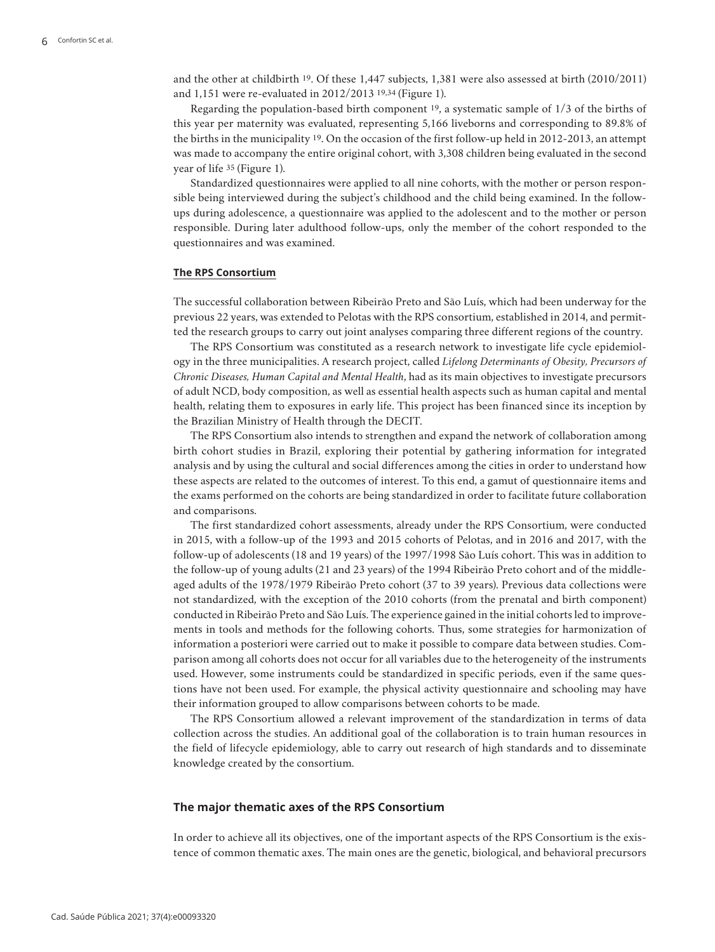and the other at childbirth 19. Of these 1,447 subjects, 1,381 were also assessed at birth (2010/2011) and 1,151 were re-evaluated in 2012/2013 19,34 (Figure 1).

Regarding the population-based birth component  $19$ , a systematic sample of  $1/3$  of the births of this year per maternity was evaluated, representing 5,166 liveborns and corresponding to 89.8% of the births in the municipality 19. On the occasion of the first follow-up held in 2012-2013, an attempt was made to accompany the entire original cohort, with 3,308 children being evaluated in the second year of life 35 (Figure 1).

Standardized questionnaires were applied to all nine cohorts, with the mother or person responsible being interviewed during the subject's childhood and the child being examined. In the followups during adolescence, a questionnaire was applied to the adolescent and to the mother or person responsible. During later adulthood follow-ups, only the member of the cohort responded to the questionnaires and was examined.

#### **The RPS Consortium**

The successful collaboration between Ribeirão Preto and São Luís, which had been underway for the previous 22 years, was extended to Pelotas with the RPS consortium, established in 2014, and permitted the research groups to carry out joint analyses comparing three different regions of the country.

The RPS Consortium was constituted as a research network to investigate life cycle epidemiology in the three municipalities. A research project, called *Lifelong Determinants of Obesity, Precursors of Chronic Diseases, Human Capital and Mental Health*, had as its main objectives to investigate precursors of adult NCD, body composition, as well as essential health aspects such as human capital and mental health, relating them to exposures in early life. This project has been financed since its inception by the Brazilian Ministry of Health through the DECIT.

The RPS Consortium also intends to strengthen and expand the network of collaboration among birth cohort studies in Brazil, exploring their potential by gathering information for integrated analysis and by using the cultural and social differences among the cities in order to understand how these aspects are related to the outcomes of interest. To this end, a gamut of questionnaire items and the exams performed on the cohorts are being standardized in order to facilitate future collaboration and comparisons.

The first standardized cohort assessments, already under the RPS Consortium, were conducted in 2015, with a follow-up of the 1993 and 2015 cohorts of Pelotas, and in 2016 and 2017, with the follow-up of adolescents (18 and 19 years) of the 1997/1998 São Luís cohort. This was in addition to the follow-up of young adults (21 and 23 years) of the 1994 Ribeirão Preto cohort and of the middleaged adults of the 1978/1979 Ribeirão Preto cohort (37 to 39 years). Previous data collections were not standardized, with the exception of the 2010 cohorts (from the prenatal and birth component) conducted in Ribeirão Preto and São Luís. The experience gained in the initial cohorts led to improvements in tools and methods for the following cohorts. Thus, some strategies for harmonization of information a posteriori were carried out to make it possible to compare data between studies. Comparison among all cohorts does not occur for all variables due to the heterogeneity of the instruments used. However, some instruments could be standardized in specific periods, even if the same questions have not been used. For example, the physical activity questionnaire and schooling may have their information grouped to allow comparisons between cohorts to be made.

The RPS Consortium allowed a relevant improvement of the standardization in terms of data collection across the studies. An additional goal of the collaboration is to train human resources in the field of lifecycle epidemiology, able to carry out research of high standards and to disseminate knowledge created by the consortium.

# **The major thematic axes of the RPS Consortium**

In order to achieve all its objectives, one of the important aspects of the RPS Consortium is the existence of common thematic axes. The main ones are the genetic, biological, and behavioral precursors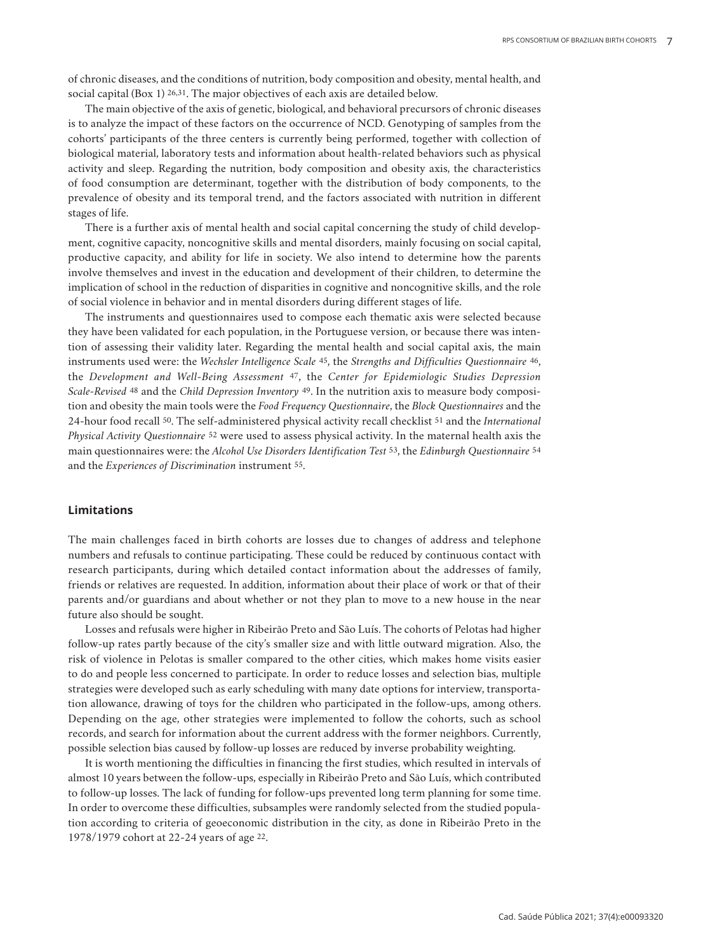of chronic diseases, and the conditions of nutrition, body composition and obesity, mental health, and social capital (Box 1) 26,31. The major objectives of each axis are detailed below.

The main objective of the axis of genetic, biological, and behavioral precursors of chronic diseases is to analyze the impact of these factors on the occurrence of NCD. Genotyping of samples from the cohorts' participants of the three centers is currently being performed, together with collection of biological material, laboratory tests and information about health-related behaviors such as physical activity and sleep. Regarding the nutrition, body composition and obesity axis, the characteristics of food consumption are determinant, together with the distribution of body components, to the prevalence of obesity and its temporal trend, and the factors associated with nutrition in different stages of life.

There is a further axis of mental health and social capital concerning the study of child development, cognitive capacity, noncognitive skills and mental disorders, mainly focusing on social capital, productive capacity, and ability for life in society. We also intend to determine how the parents involve themselves and invest in the education and development of their children, to determine the implication of school in the reduction of disparities in cognitive and noncognitive skills, and the role of social violence in behavior and in mental disorders during different stages of life.

The instruments and questionnaires used to compose each thematic axis were selected because they have been validated for each population, in the Portuguese version, or because there was intention of assessing their validity later. Regarding the mental health and social capital axis, the main instruments used were: the *Wechsler Intelligence Scale* 45, the *Strengths and Difficulties Questionnaire* 46, the *Development and Well-Being Assessment* 47, the *Center for Epidemiologic Studies Depression Scale-Revised* 48 and the *Child Depression Inventory* 49. In the nutrition axis to measure body composition and obesity the main tools were the *Food Frequency Questionnaire*, the *Block Questionnaires* and the 24-hour food recall 50. The self-administered physical activity recall checklist 51 and the *International Physical Activity Questionnaire* 52 were used to assess physical activity. In the maternal health axis the main questionnaires were: the *Alcohol Use Disorders Identification Test* 53, the *Edinburgh Questionnaire* 54 and the *Experiences of Discrimination* instrument 55.

# **Limitations**

The main challenges faced in birth cohorts are losses due to changes of address and telephone numbers and refusals to continue participating. These could be reduced by continuous contact with research participants, during which detailed contact information about the addresses of family, friends or relatives are requested. In addition, information about their place of work or that of their parents and/or guardians and about whether or not they plan to move to a new house in the near future also should be sought.

Losses and refusals were higher in Ribeirão Preto and São Luís. The cohorts of Pelotas had higher follow-up rates partly because of the city's smaller size and with little outward migration. Also, the risk of violence in Pelotas is smaller compared to the other cities, which makes home visits easier to do and people less concerned to participate. In order to reduce losses and selection bias, multiple strategies were developed such as early scheduling with many date options for interview, transportation allowance, drawing of toys for the children who participated in the follow-ups, among others. Depending on the age, other strategies were implemented to follow the cohorts, such as school records, and search for information about the current address with the former neighbors. Currently, possible selection bias caused by follow-up losses are reduced by inverse probability weighting.

It is worth mentioning the difficulties in financing the first studies, which resulted in intervals of almost 10 years between the follow-ups, especially in Ribeirão Preto and São Luís, which contributed to follow-up losses. The lack of funding for follow-ups prevented long term planning for some time. In order to overcome these difficulties, subsamples were randomly selected from the studied population according to criteria of geoeconomic distribution in the city, as done in Ribeirão Preto in the 1978/1979 cohort at 22-24 years of age 22.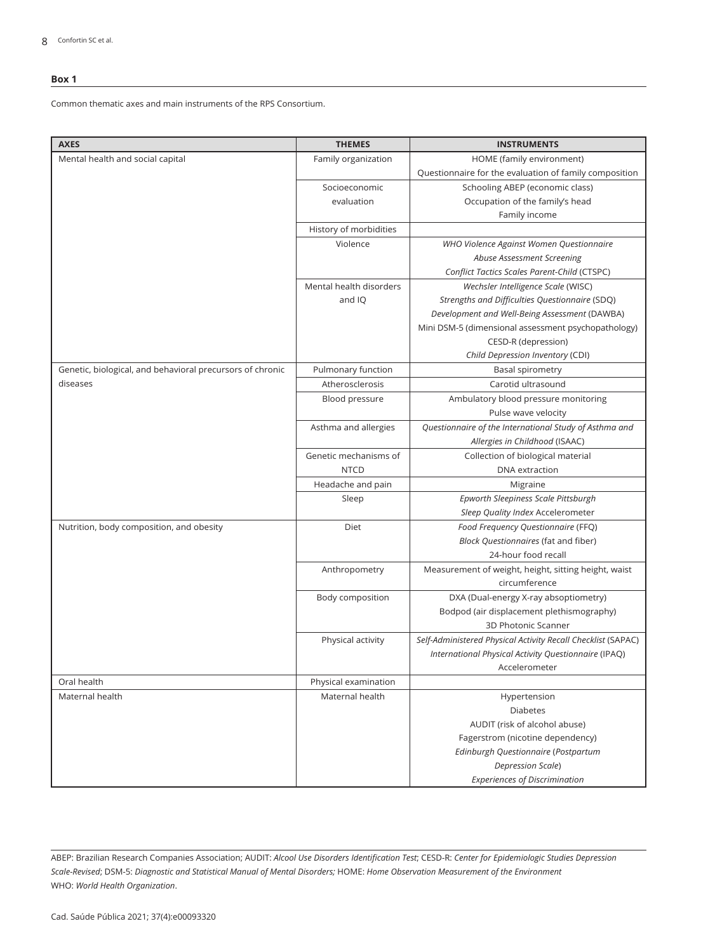#### **Box 1**

Common thematic axes and main instruments of the RPS Consortium.

| <b>AXES</b>                                               | <b>THEMES</b>           | <b>INSTRUMENTS</b>                                                    |
|-----------------------------------------------------------|-------------------------|-----------------------------------------------------------------------|
| Mental health and social capital                          | Family organization     | HOME (family environment)                                             |
|                                                           |                         | Questionnaire for the evaluation of family composition                |
|                                                           | Socioeconomic           | Schooling ABEP (economic class)                                       |
|                                                           | evaluation              | Occupation of the family's head                                       |
|                                                           |                         | Family income                                                         |
|                                                           | History of morbidities  |                                                                       |
|                                                           | Violence                | WHO Violence Against Women Questionnaire                              |
|                                                           |                         | Abuse Assessment Screening                                            |
|                                                           |                         | Conflict Tactics Scales Parent-Child (CTSPC)                          |
|                                                           | Mental health disorders | Wechsler Intelligence Scale (WISC)                                    |
|                                                           | and IQ                  | Strengths and Difficulties Questionnaire (SDQ)                        |
|                                                           |                         | Development and Well-Being Assessment (DAWBA)                         |
|                                                           |                         | Mini DSM-5 (dimensional assessment psychopathology)                   |
|                                                           |                         | CESD-R (depression)                                                   |
|                                                           |                         | Child Depression Inventory (CDI)                                      |
| Genetic, biological, and behavioral precursors of chronic | Pulmonary function      | Basal spirometry                                                      |
| diseases                                                  | Atherosclerosis         | Carotid ultrasound                                                    |
|                                                           | Blood pressure          | Ambulatory blood pressure monitoring                                  |
|                                                           |                         | Pulse wave velocity                                                   |
|                                                           | Asthma and allergies    | Questionnaire of the International Study of Asthma and                |
|                                                           |                         | Allergies in Childhood (ISAAC)                                        |
|                                                           | Genetic mechanisms of   | Collection of biological material                                     |
|                                                           | <b>NTCD</b>             | <b>DNA</b> extraction                                                 |
|                                                           | Headache and pain       | Migraine                                                              |
|                                                           | Sleep                   | Epworth Sleepiness Scale Pittsburgh                                   |
|                                                           |                         | Sleep Quality Index Accelerometer                                     |
| Nutrition, body composition, and obesity                  | Diet                    | Food Frequency Questionnaire (FFQ)                                    |
|                                                           |                         | Block Questionnaires (fat and fiber)                                  |
|                                                           |                         | 24-hour food recall                                                   |
|                                                           | Anthropometry           | Measurement of weight, height, sitting height, waist                  |
|                                                           |                         | circumference                                                         |
|                                                           | Body composition        | DXA (Dual-energy X-ray absoptiometry)                                 |
|                                                           |                         | Bodpod (air displacement plethismography)                             |
|                                                           |                         | 3D Photonic Scanner                                                   |
|                                                           | Physical activity       | Self-Administered Physical Activity Recall Checklist (SAPAC)          |
|                                                           |                         | International Physical Activity Questionnaire (IPAQ)<br>Accelerometer |
|                                                           |                         |                                                                       |
| Oral health                                               | Physical examination    |                                                                       |
| Maternal health                                           | Maternal health         | Hypertension<br><b>Diabetes</b>                                       |
|                                                           |                         | AUDIT (risk of alcohol abuse)                                         |
|                                                           |                         | Fagerstrom (nicotine dependency)                                      |
|                                                           |                         | Edinburgh Questionnaire (Postpartum                                   |
|                                                           |                         | Depression Scale)                                                     |
|                                                           |                         | <b>Experiences of Discrimination</b>                                  |

ABEP: Brazilian Research Companies Association; AUDIT: *Alcool Use Disorders Identification Test*; CESD-R: *Center for Epidemiologic Studies Depression Scale-Revised*; DSM-5: *Diagnostic and Statistical Manual of Mental Disorders;* HOME: *Home Observation Measurement of the Environment*  WHO: *World Health Organization*.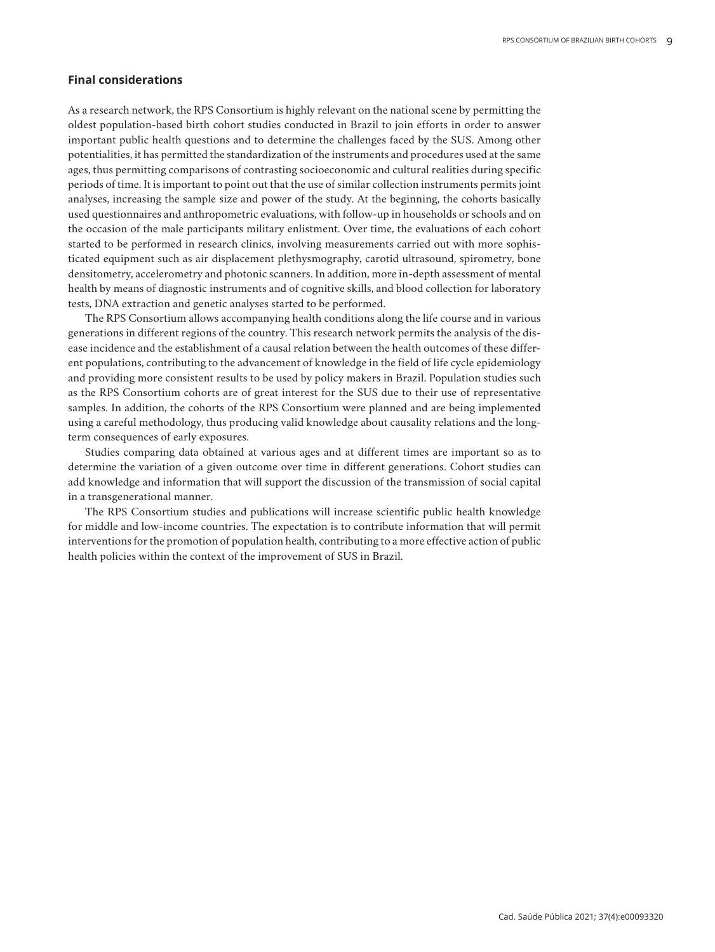# **Final considerations**

As a research network, the RPS Consortium is highly relevant on the national scene by permitting the oldest population-based birth cohort studies conducted in Brazil to join efforts in order to answer important public health questions and to determine the challenges faced by the SUS. Among other potentialities, it has permitted the standardization of the instruments and procedures used at the same ages, thus permitting comparisons of contrasting socioeconomic and cultural realities during specific periods of time. It is important to point out that the use of similar collection instruments permits joint analyses, increasing the sample size and power of the study. At the beginning, the cohorts basically used questionnaires and anthropometric evaluations, with follow-up in households or schools and on the occasion of the male participants military enlistment. Over time, the evaluations of each cohort started to be performed in research clinics, involving measurements carried out with more sophisticated equipment such as air displacement plethysmography, carotid ultrasound, spirometry, bone densitometry, accelerometry and photonic scanners. In addition, more in-depth assessment of mental health by means of diagnostic instruments and of cognitive skills, and blood collection for laboratory tests, DNA extraction and genetic analyses started to be performed.

The RPS Consortium allows accompanying health conditions along the life course and in various generations in different regions of the country. This research network permits the analysis of the disease incidence and the establishment of a causal relation between the health outcomes of these different populations, contributing to the advancement of knowledge in the field of life cycle epidemiology and providing more consistent results to be used by policy makers in Brazil. Population studies such as the RPS Consortium cohorts are of great interest for the SUS due to their use of representative samples. In addition, the cohorts of the RPS Consortium were planned and are being implemented using a careful methodology, thus producing valid knowledge about causality relations and the longterm consequences of early exposures.

Studies comparing data obtained at various ages and at different times are important so as to determine the variation of a given outcome over time in different generations. Cohort studies can add knowledge and information that will support the discussion of the transmission of social capital in a transgenerational manner.

The RPS Consortium studies and publications will increase scientific public health knowledge for middle and low-income countries. The expectation is to contribute information that will permit interventions for the promotion of population health, contributing to a more effective action of public health policies within the context of the improvement of SUS in Brazil.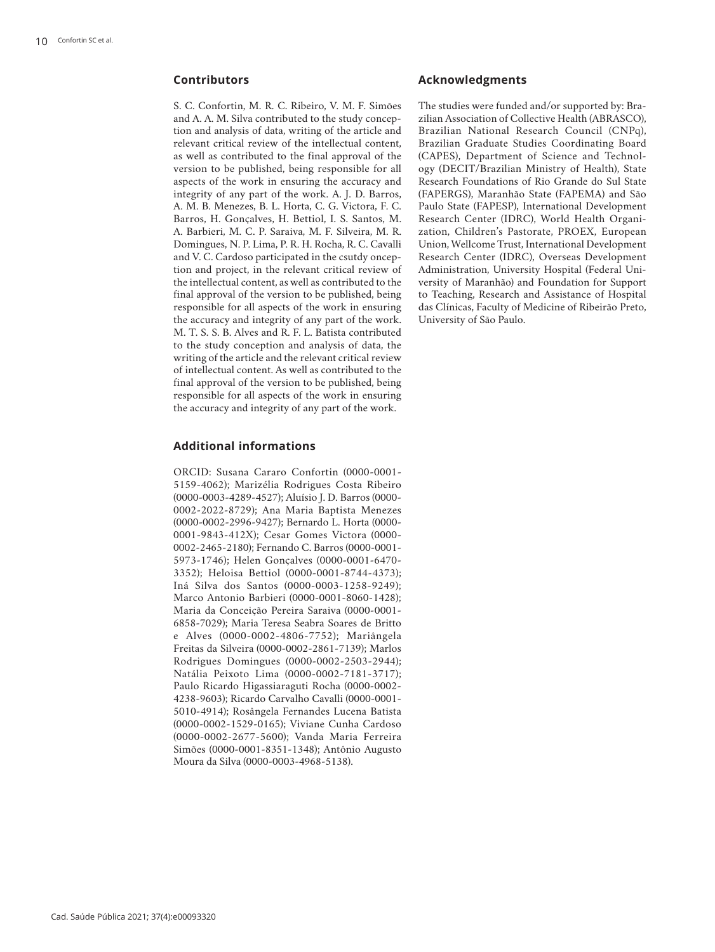# **Contributors**

S. C. Confortin, M. R. C. Ribeiro, V. M. F. Simões and A. A. M. Silva contributed to the study conception and analysis of data, writing of the article and relevant critical review of the intellectual content, as well as contributed to the final approval of the version to be published, being responsible for all aspects of the work in ensuring the accuracy and integrity of any part of the work. A. J. D. Barros, A. M. B. Menezes, B. L. Horta, C. G. Victora, F. C. Barros, H. Gonçalves, H. Bettiol, I. S. Santos, M. A. Barbieri, M. C. P. Saraiva, M. F. Silveira, M. R. Domingues, N. P. Lima, P. R. H. Rocha, R. C. Cavalli and V. C. Cardoso participated in the csutdy onception and project, in the relevant critical review of the intellectual content, as well as contributed to the final approval of the version to be published, being responsible for all aspects of the work in ensuring the accuracy and integrity of any part of the work. M. T. S. S. B. Alves and R. F. L. Batista contributed to the study conception and analysis of data, the writing of the article and the relevant critical review of intellectual content. As well as contributed to the final approval of the version to be published, being responsible for all aspects of the work in ensuring the accuracy and integrity of any part of the work.

# **Additional informations**

ORCID: Susana Cararo Confortin (0000-0001- 5159-4062); Marizélia Rodrigues Costa Ribeiro (0000-0003-4289-4527); Aluísio J. D. Barros (0000- 0002-2022-8729); Ana Maria Baptista Menezes (0000-0002-2996-9427); Bernardo L. Horta (0000- 0001-9843-412X); Cesar Gomes Victora (0000- 0002-2465-2180); Fernando C. Barros (0000-0001- 5973-1746); Helen Gonçalves (0000-0001-6470- 3352); Heloisa Bettiol (0000-0001-8744-4373); Iná Silva dos Santos (0000-0003-1258-9249); Marco Antonio Barbieri (0000-0001-8060-1428); Maria da Conceição Pereira Saraiva (0000-0001- 6858-7029); Maria Teresa Seabra Soares de Britto e Alves (0000-0002-4806-7752); Mariângela Freitas da Silveira (0000-0002-2861-7139); Marlos Rodrigues Domingues (0000-0002-2503-2944); Natália Peixoto Lima (0000-0002-7181-3717); Paulo Ricardo Higassiaraguti Rocha (0000-0002- 4238-9603); Ricardo Carvalho Cavalli (0000-0001- 5010-4914); Rosângela Fernandes Lucena Batista (0000-0002-1529-0165); Viviane Cunha Cardoso (0000-0002-2677-5600); Vanda Maria Ferreira Simões (0000-0001-8351-1348); Antônio Augusto Moura da Silva (0000-0003-4968-5138).

# **Acknowledgments**

The studies were funded and/or supported by: Brazilian Association of Collective Health (ABRASCO), Brazilian National Research Council (CNPq), Brazilian Graduate Studies Coordinating Board (CAPES), Department of Science and Technology (DECIT/Brazilian Ministry of Health), State Research Foundations of Rio Grande do Sul State (FAPERGS), Maranhão State (FAPEMA) and São Paulo State (FAPESP), International Development Research Center (IDRC), World Health Organization, Children's Pastorate, PROEX, European Union, Wellcome Trust, International Development Research Center (IDRC), Overseas Development Administration, University Hospital (Federal University of Maranhão) and Foundation for Support to Teaching, Research and Assistance of Hospital das Clínicas, Faculty of Medicine of Ribeirão Preto, University of São Paulo.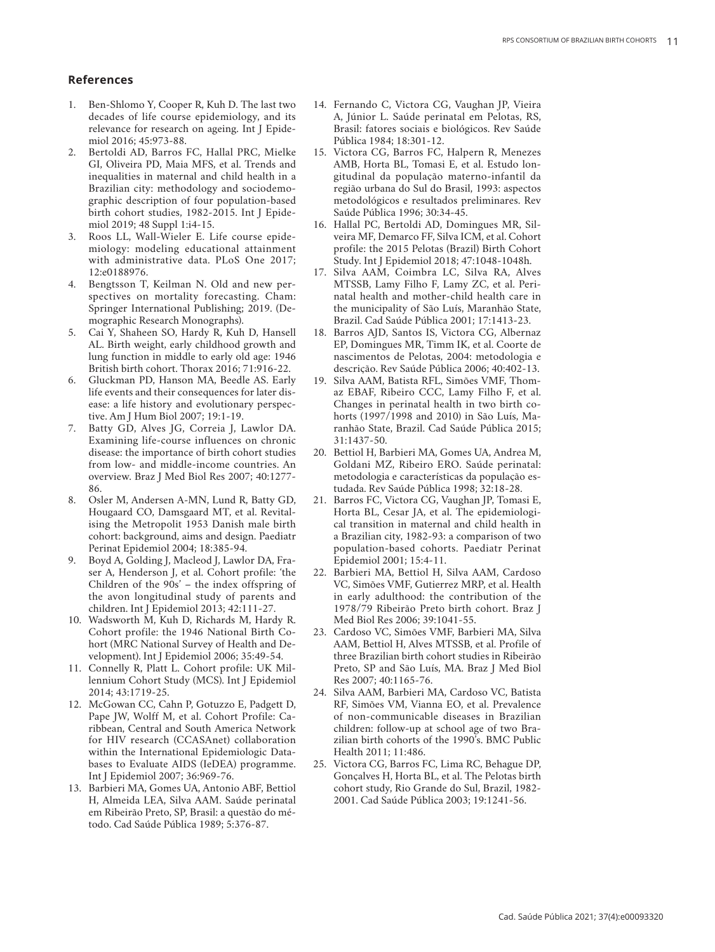### **References**

- 1. Ben-Shlomo Y, Cooper R, Kuh D. The last two decades of life course epidemiology, and its relevance for research on ageing. Int J Epide miol 2016; 45:973-88.
- 2. Bertoldi AD, Barros FC, Hallal PRC, Mielke GI, Oliveira PD, Maia MFS, et al. Trends and inequalities in maternal and child health in a Brazilian city: methodology and sociodemo graphic description of four population-based birth cohort studies, 1982-2015. Int J Epide miol 2019; 48 Suppl 1:i4-15.
- 3. Roos LL, Wall-Wieler E. Life course epide miology: modeling educational attainment with administrative data. PLoS One 2017; 12:e0188976.
- 4. Bengtsson T, Keilman N. Old and new per spectives on mortality forecasting. Cham: Springer International Publishing; 2019. (De mographic Research Monographs).
- 5. Cai Y, Shaheen SO, Hardy R, Kuh D, Hansell AL. Birth weight, early childhood growth and lung function in middle to early old age: 1946 British birth cohort. Thorax 2016; 71:916-22.
- 6. Gluckman PD, Hanson MA, Beedle AS. Early life events and their consequences for later dis ease: a life history and evolutionary perspec tive. Am J Hum Biol 2007; 19:1-19.
- 7. Batty GD, Alves JG, Correia J, Lawlor DA. Examining life-course influences on chronic disease: the importance of birth cohort studies from low- and middle-income countries. An overview. Braz J Med Biol Res 2007; 40:1277- 86.
- 8. Osler M, Andersen A-MN, Lund R, Batty GD, Hougaard CO, Damsgaard MT, et al. Revital ising the Metropolit 1953 Danish male birth cohort: background, aims and design. Paediatr Perinat Epidemiol 2004; 18:385-94.
- 9. Boyd A, Golding J, Macleod J, Lawlor DA, Fra ser A, Henderson J, et al. Cohort profile: 'the Children of the 90s' – the index offspring of the avon longitudinal study of parents and children. Int J Epidemiol 2013; 42:111-27.
- 10. Wadsworth M, Kuh D, Richards M, Hardy R. Cohort profile: the 1946 National Birth Co hort (MRC National Survey of Health and De velopment). Int J Epidemiol 2006; 35:49-54.
- 11. Connelly R, Platt L. Cohort profile: UK Mil lennium Cohort Study (MCS). Int J Epidemiol 2014; 43:1719-25.
- 12. McGowan CC, Cahn P, Gotuzzo E, Padgett D, Pape JW, Wolff M, et al. Cohort Profile: Ca ribbean, Central and South America Network for HIV research (CCASAnet) collaboration within the International Epidemiologic Data bases to Evaluate AIDS (IeDEA) programme. Int J Epidemiol 2007; 36:969-76.
- 13. Barbieri MA, Gomes UA, Antonio ABF, Bettiol H, Almeida LEA, Silva AAM. Saúde perinatal em Ribeirão Preto, SP, Brasil: a questão do mé todo. Cad Saúde Pública 1989; 5:376-87.
- 14. Fernando C, Victora CG, Vaughan JP, Vieira A, Júnior L. Saúde perinatal em Pelotas, RS, Brasil: fatores sociais e biológicos. Rev Saúde Pública 1984; 18:301-12.
- 15. Victora CG, Barros FC, Halpern R, Menezes AMB, Horta BL, Tomasi E, et al. Estudo lon gitudinal da população materno-infantil da região urbana do Sul do Brasil, 1993: aspectos metodológicos e resultados preliminares. Rev Saúde Pública 1996; 30:34-45.
- 16. Hallal PC, Bertoldi AD, Domingues MR, Sil veira MF, Demarco FF, Silva ICM, et al. Cohort profile: the 2015 Pelotas (Brazil) Birth Cohort Study. Int J Epidemiol 2018; 47:1048-1048h.
- 17. Silva AAM, Coimbra LC, Silva RA, Alves MTSSB, Lamy Filho F, Lamy ZC, et al. Peri natal health and mother-child health care in the municipality of São Luís, Maranhão State, Brazil. Cad Saúde Pública 2001; 17:1413-23.
- 18. Barros AJD, Santos IS, Victora CG, Albernaz EP, Domingues MR, Timm IK, et al. Coorte de nascimentos de Pelotas, 2004: metodologia e descrição. Rev Saúde Pública 2006; 40:402-13.
- 19. Silva AAM, Batista RFL, Simões VMF, Thom az EBAF, Ribeiro CCC, Lamy Filho F, et al. Changes in perinatal health in two birth co horts (1997/1998 and 2010) in São Luís, Ma ranhão State, Brazil. Cad Saúde Pública 2015; 31:1437-50.
- 20. Bettiol H, Barbieri MA, Gomes UA, Andrea M, Goldani MZ, Ribeiro ERO. Saúde perinatal: metodologia e características da população es tudada. Rev Saúde Pública 1998; 32:18-28.
- 21. Barros FC, Victora CG, Vaughan JP, Tomasi E, Horta BL, Cesar JA, et al. The epidemiologi cal transition in maternal and child health in a Brazilian city, 1982-93: a comparison of two population-based cohorts. Paediatr Perinat Epidemiol 2001; 15:4-11.
- 22. Barbieri MA, Bettiol H, Silva AAM, Cardoso VC, Simões VMF, Gutierrez MRP, et al. Health in early adulthood: the contribution of the 1978/79 Ribeirão Preto birth cohort. Braz J Med Biol Res 2006; 39:1041-55.
- 23. Cardoso VC, Simões VMF, Barbieri MA, Silva AAM, Bettiol H, Alves MTSSB, et al. Profile of three Brazilian birth cohort studies in Ribeirão Preto, SP and São Luís, MA. Braz J Med Biol Res 2007; 40:1165-76.
- 24. Silva AAM, Barbieri MA, Cardoso VC, Batista RF, Simões VM, Vianna EO, et al. Prevalence of non-communicable diseases in Brazilian children: follow-up at school age of two Bra zilian birth cohorts of the 1990's. BMC Public Health 2011; 11:486.
- 25. Victora CG, Barros FC, Lima RC, Behague DP, Gonçalves H, Horta BL, et al. The Pelotas birth cohort study, Rio Grande do Sul, Brazil, 1982- 2001. Cad Saúde Pública 2003; 19:1241-56.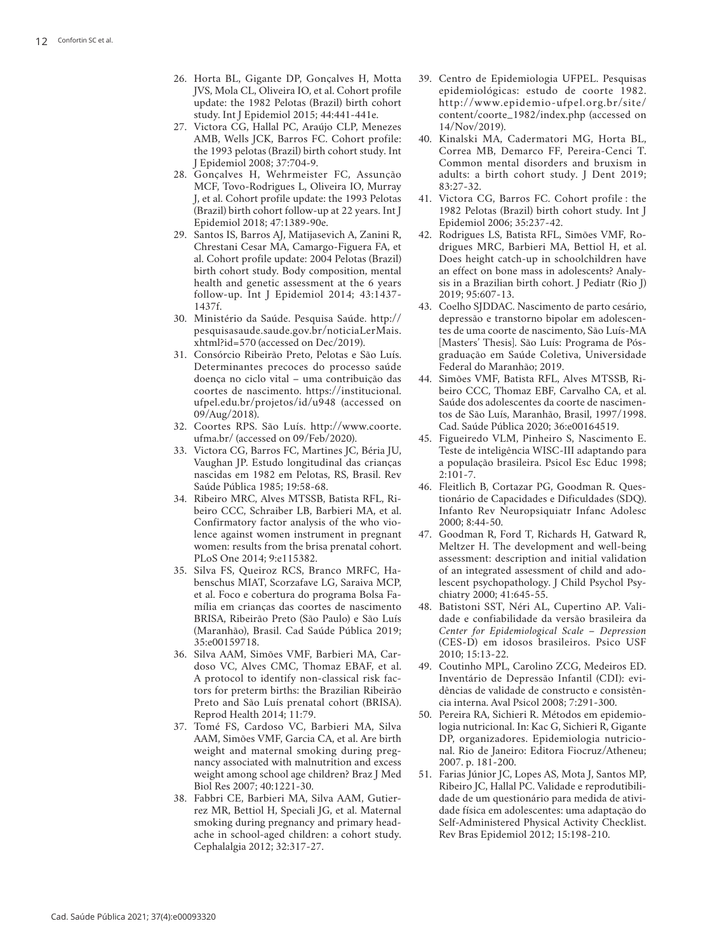- 26. Horta BL, Gigante DP, Gonçalves H, Motta JVS, Mola CL, Oliveira IO, et al. Cohort profile update: the 1982 Pelotas (Brazil) birth cohort study. Int J Epidemiol 2015; 44:441-441e.
- 27. Victora CG, Hallal PC, Araújo CLP, Menezes AMB, Wells JCK, Barros FC. Cohort profile: the 1993 pelotas (Brazil) birth cohort study. Int J Epidemiol 2008; 37:704-9.
- 28. Gonçalves H, Wehrmeister FC, Assunção MCF, Tovo-Rodrigues L, Oliveira IO, Murray J, et al. Cohort profile update: the 1993 Pelotas (Brazil) birth cohort follow-up at 22 years. Int J Epidemiol 2018; 47:1389-90e.
- 29. Santos IS, Barros AJ, Matijasevich A, Zanini R, Chrestani Cesar MA, Camargo-Figuera FA, et al. Cohort profile update: 2004 Pelotas (Brazil) birth cohort study. Body composition, mental health and genetic assessment at the 6 years follow-up. Int J Epidemiol 2014; 43:1437- 1437f.
- 30. Ministério da Saúde. Pesquisa Saúde. http:// pesquisasaude.saude.gov.br/noticiaLerMais. xhtml?id=570 (accessed on Dec/2019).
- 31. Consórcio Ribeirão Preto, Pelotas e São Luís. Determinantes precoces do processo saúde doença no ciclo vital – uma contribuição das coortes de nascimento. https://institucional. ufpel.edu.br/projetos/id/u948 (accessed on 09/Aug/2018).
- 32. Coortes RPS. São Luís. http://www.coorte. ufma.br/ (accessed on 09/Feb/2020).
- 33. Victora CG, Barros FC, Martines JC, Béria JU, Vaughan JP. Estudo longitudinal das crianças nascidas em 1982 em Pelotas, RS, Brasil. Rev Saúde Pública 1985; 19:58-68.
- 34. Ribeiro MRC, Alves MTSSB, Batista RFL, Ri beiro CCC, Schraiber LB, Barbieri MA, et al. Confirmatory factor analysis of the who vio lence against women instrument in pregnant women: results from the brisa prenatal cohort. PLoS One 2014; 9:e115382.
- 35. Silva FS, Queiroz RCS, Branco MRFC, Ha benschus MIAT, Scorzafave LG, Saraiva MCP, et al. Foco e cobertura do programa Bolsa Fa mília em crianças das coortes de nascimento BRISA, Ribeirão Preto (São Paulo) e São Luís (Maranhão), Brasil. Cad Saúde Pública 2019; 35:e00159718.
- 36. Silva AAM, Simões VMF, Barbieri MA, Car doso VC, Alves CMC, Thomaz EBAF, et al. A protocol to identify non-classical risk fac tors for preterm births: the Brazilian Ribeirão Preto and São Luís prenatal cohort (BRISA). Reprod Health 2014; 11:79.
- 37. Tomé FS, Cardoso VC, Barbieri MA, Silva AAM, Simões VMF, Garcia CA, et al. Are birth weight and maternal smoking during preg nancy associated with malnutrition and excess weight among school age children? Braz J Med Biol Res 2007; 40:1221-30.
- 38. Fabbri CE, Barbieri MA, Silva AAM, Gutier rez MR, Bettiol H, Speciali JG, et al. Maternal smoking during pregnancy and primary head ache in school-aged children: a cohort study. Cephalalgia 2012; 32:317-27.
- 39. Centro de Epidemiologia UFPEL. Pesquisas epidemiológicas: estudo de coorte 1982. http://www.epidemio-ufpel.org.br/site/ content/coorte\_1982/index.php (accessed on 14/Nov/2019).
- 40. Kinalski MA, Cadermatori MG, Horta BL, Correa MB, Demarco FF, Pereira-Cenci T. Common mental disorders and bruxism in adults: a birth cohort study. J Dent 2019; 83:27-32.
- 41. Victora CG, Barros FC. Cohort profile : the 1982 Pelotas (Brazil) birth cohort study. Int J Epidemiol 2006; 35:237-42.
- 42. Rodrigues LS, Batista RFL, Simões VMF, Ro drigues MRC, Barbieri MA, Bettiol H, et al. Does height catch-up in schoolchildren have an effect on bone mass in adolescents? Analy sis in a Brazilian birth cohort. J Pediatr (Rio J) 2019; 95:607-13.
- 43. Coelho SJDDAC. Nascimento de parto cesário, depressão e transtorno bipolar em adolescen tes de uma coorte de nascimento, São Luís-MA [Masters' Thesis]. São Luís: Programa de Pósgraduação em Saúde Coletiva, Universidade Federal do Maranhão; 2019.
- 44. Simões VMF, Batista RFL, Alves MTSSB, Ri beiro CCC, Thomaz EBF, Carvalho CA, et al. Saúde dos adolescentes da coorte de nascimen tos de São Luís, Maranhão, Brasil, 1997/1998. Cad. Saúde Pública 2020; 36:e00164519.
- 45. Figueiredo VLM, Pinheiro S, Nascimento E. Teste de inteligência WISC-III adaptando para a população brasileira. Psicol Esc Educ 1998; 2:101-7.
- 46. Fleitlich B, Cortazar PG, Goodman R. Ques tionário de Capacidades e Dificuldades (SDQ). Infanto Rev Neuropsiquiatr Infanc Adolesc 2000; 8:44-50.
- 47. Goodman R, Ford T, Richards H, Gatward R, Meltzer H. The development and well‐being assessment: description and initial validation of an integrated assessment of child and ado lescent psychopathology. J Child Psychol Psy chiatry 2000; 41:645-55.
- 48. Batistoni SST, Néri AL, Cupertino AP. Vali dade e confiabilidade da versão brasileira da *Center for Epidemiological Scale – Depression* (CES-D) em idosos brasileiros. Psico USF 2010; 15:13-22.
- 49. Coutinho MPL, Carolino ZCG, Medeiros ED. Inventário de Depressão Infantil (CDI): evi dências de validade de constructo e consistên cia interna. Aval Psicol 2008; 7:291-300.
- 50. Pereira RA, Sichieri R. Métodos em epidemio logia nutricional. In: Kac G, Sichieri R, Gigante DP, organizadores. Epidemiologia nutricio nal. Rio de Janeiro: Editora Fiocruz/Atheneu; 2007. p. 181-200.
- 51. Farias Júnior JC, Lopes AS, Mota J, Santos MP, Ribeiro JC, Hallal PC. Validade e reprodutibili dade de um questionário para medida de ativi dade física em adolescentes: uma adaptação do Self-Administered Physical Activity Checklist. Rev Bras Epidemiol 2012; 15:198-210.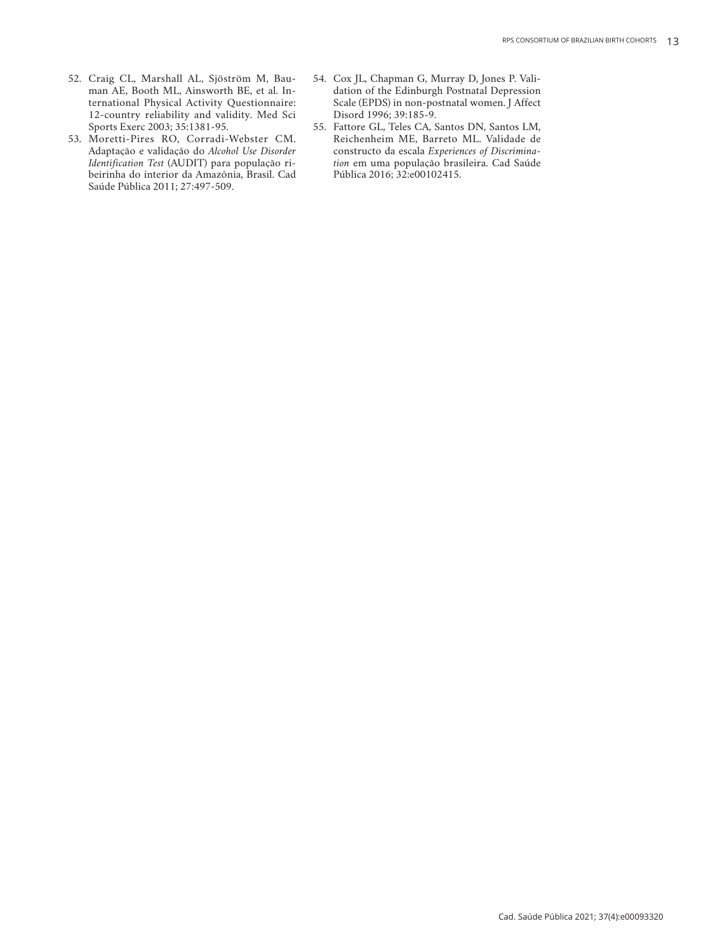- 52. Craig CL, Marshall AL, Sjöström M, Bauman AE, Booth ML, Ainsworth BE, et al. International Physical Activity Questionnaire: 12-country reliability and validity. Med Sci Sports Exerc 2003; 35:1381-95.
- 53. Moretti-Pires RO, Corradi-Webster CM. Adaptação e validação do *Alcohol Use Disorder Identification Test* (AUDIT) para população ribeirinha do interior da Amazônia, Brasil. Cad Saúde Pública 2011; 27:497-509.
- 54. Cox JL, Chapman G, Murray D, Jones P. Validation of the Edinburgh Postnatal Depression Scale (EPDS) in non-postnatal women. J Affect Disord 1996; 39:185-9.
- 55. Fattore GL, Teles CA, Santos DN, Santos LM, Reichenheim ME, Barreto ML. Validade de constructo da escala *Experiences of Discrimination* em uma população brasileira. Cad Saúde Pública 2016; 32:e00102415.